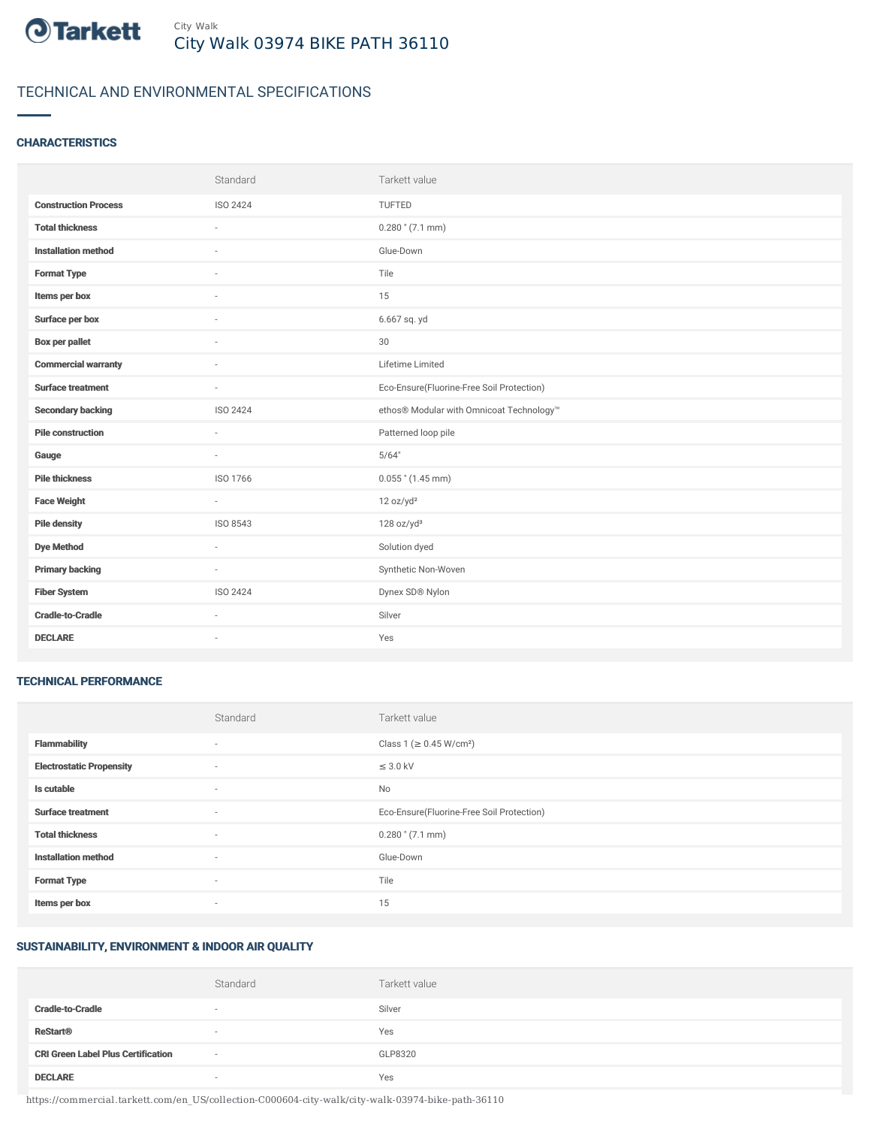

# TECHNICAL AND ENVIRONMENTAL SPECIFICATIONS

# **CHARACTERISTICS**

|                             | Standard | Tarkett value                             |
|-----------------------------|----------|-------------------------------------------|
| <b>Construction Process</b> | ISO 2424 | TUFTED                                    |
| <b>Total thickness</b>      |          | $0.280$ " (7.1 mm)                        |
| <b>Installation method</b>  | $\sim$   | Glue-Down                                 |
| <b>Format Type</b>          |          | Tile                                      |
| Items per box               |          | 15                                        |
| Surface per box             |          | 6.667 sq. yd                              |
| <b>Box per pallet</b>       | $\sim$   | 30                                        |
| <b>Commercial warranty</b>  | $\sim$   | Lifetime Limited                          |
| <b>Surface treatment</b>    | $\sim$   | Eco-Ensure(Fluorine-Free Soil Protection) |
| <b>Secondary backing</b>    | ISO 2424 | ethos® Modular with Omnicoat Technology™  |
| <b>Pile construction</b>    | $\sim$   | Patterned loop pile                       |
| Gauge                       | $\sim$   | 5/64"                                     |
| <b>Pile thickness</b>       | ISO 1766 | $0.055$ " (1.45 mm)                       |
| <b>Face Weight</b>          | $\sim$   | 12 oz/yd <sup>2</sup>                     |
| <b>Pile density</b>         | ISO 8543 | 128 oz/yd <sup>3</sup>                    |
| <b>Dye Method</b>           | $\sim$   | Solution dyed                             |
| <b>Primary backing</b>      | $\sim$   | Synthetic Non-Woven                       |
| <b>Fiber System</b>         | ISO 2424 | Dynex SD® Nylon                           |
| <b>Cradle-to-Cradle</b>     | $\sim$   | Silver                                    |
| <b>DECLARE</b>              | ٠        | Yes                                       |

#### TECHNICAL PERFORMANCE

|                                 | Standard | Tarkett value                             |
|---------------------------------|----------|-------------------------------------------|
| <b>Flammability</b>             | ۰        | Class 1 (≥ 0.45 W/cm <sup>2</sup> )       |
| <b>Electrostatic Propensity</b> | $\sim$   | $\leq$ 3.0 kV                             |
| Is cutable                      | $\sim$   | No                                        |
| <b>Surface treatment</b>        | $\sim$   | Eco-Ensure(Fluorine-Free Soil Protection) |
| <b>Total thickness</b>          | $\sim$   | $0.280$ " (7.1 mm)                        |
| <b>Installation method</b>      | $\sim$   | Glue-Down                                 |
| <b>Format Type</b>              | $\sim$   | Tile                                      |
| Items per box                   | $\sim$   | 15                                        |

## SUSTAINABILITY, ENVIRONMENT & INDOOR AIR QUALITY

|                                           | Standard | Tarkett value |
|-------------------------------------------|----------|---------------|
| <b>Cradle-to-Cradle</b>                   | $\sim$   | Silver        |
| <b>ReStart<sup>®</sup></b>                | $\sim$   | Yes           |
| <b>CRI Green Label Plus Certification</b> | $\sim$   | GLP8320       |
| <b>DECLARE</b>                            | $\sim$   | Yes           |

https://commercial.tarkett.com/en\_US/collection-C000604-city-walk/city-walk-03974-bike-path-36110